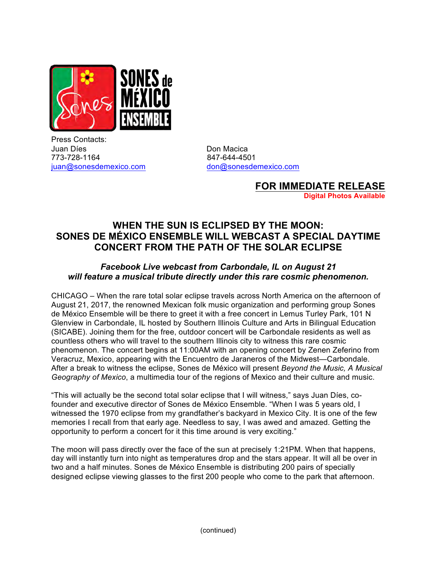

Press Contacts: Juan Díes **Don Macica** 773-728-1164 847-644-4501 juan@sonesdemexico.com don@sonesdemexico.com

**FOR IMMEDIATE RELEASE Digital Photos Available**

## **WHEN THE SUN IS ECLIPSED BY THE MOON: SONES DE MÉXICO ENSEMBLE WILL WEBCAST A SPECIAL DAYTIME CONCERT FROM THE PATH OF THE SOLAR ECLIPSE**

## *Facebook Live webcast from Carbondale, IL on August 21 will feature a musical tribute directly under this rare cosmic phenomenon.*

CHICAGO – When the rare total solar eclipse travels across North America on the afternoon of August 21, 2017, the renowned Mexican folk music organization and performing group Sones de México Ensemble will be there to greet it with a free concert in Lemus Turley Park, 101 N Glenview in Carbondale, IL hosted by Southern Illinois Culture and Arts in Bilingual Education (SICABE). Joining them for the free, outdoor concert will be Carbondale residents as well as countless others who will travel to the southern Illinois city to witness this rare cosmic phenomenon. The concert begins at 11:00AM with an opening concert by Zenen Zeferino from Veracruz, Mexico, appearing with the Encuentro de Jaraneros of the Midwest—Carbondale. After a break to witness the eclipse, Sones de México will present *Beyond the Music, A Musical Geography of Mexico*, a multimedia tour of the regions of Mexico and their culture and music.

"This will actually be the second total solar eclipse that I will witness," says Juan Díes, cofounder and executive director of Sones de México Ensemble. "When I was 5 years old, I witnessed the 1970 eclipse from my grandfather's backyard in Mexico City. It is one of the few memories I recall from that early age. Needless to say, I was awed and amazed. Getting the opportunity to perform a concert for it this time around is very exciting."

The moon will pass directly over the face of the sun at precisely 1:21PM. When that happens, day will instantly turn into night as temperatures drop and the stars appear. It will all be over in two and a half minutes. Sones de México Ensemble is distributing 200 pairs of specially designed eclipse viewing glasses to the first 200 people who come to the park that afternoon.